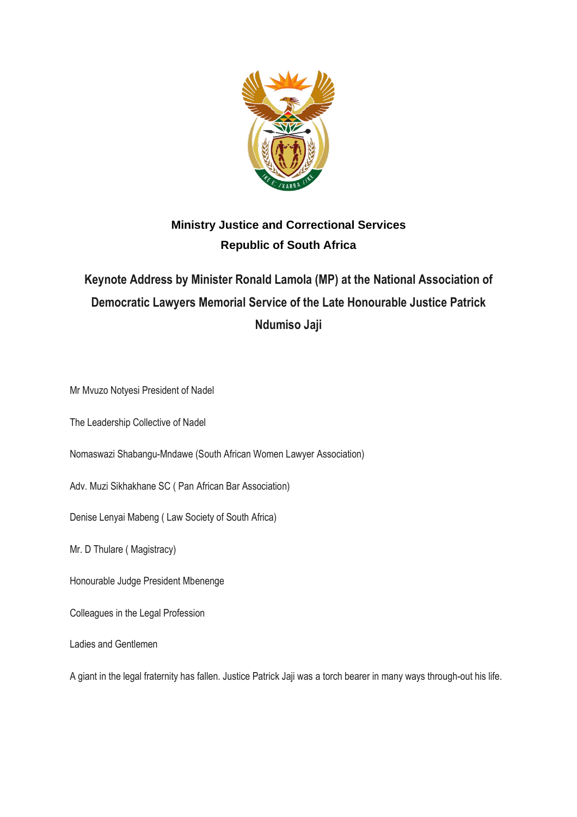

## **Ministry Justice and Correctional Services Republic of South Africa**

## **Keynote Address by Minister Ronald Lamola (MP) at the National Association of Democratic Lawyers Memorial Service of the Late Honourable Justice Patrick Ndumiso Jaji**

Mr Mvuzo Notyesi President of Nadel

The Leadership Collective of Nadel

Nomaswazi Shabangu-Mndawe (South African Women Lawyer Association)

Adv. Muzi Sikhakhane SC ( Pan African Bar Association)

Denise Lenyai Mabeng ( Law Society of South Africa)

Mr. D Thulare ( Magistracy)

Honourable Judge President Mbenenge

Colleagues in the Legal Profession

Ladies and Gentlemen

A giant in the legal fraternity has fallen. Justice Patrick Jaji was a torch bearer in many ways through-out his life.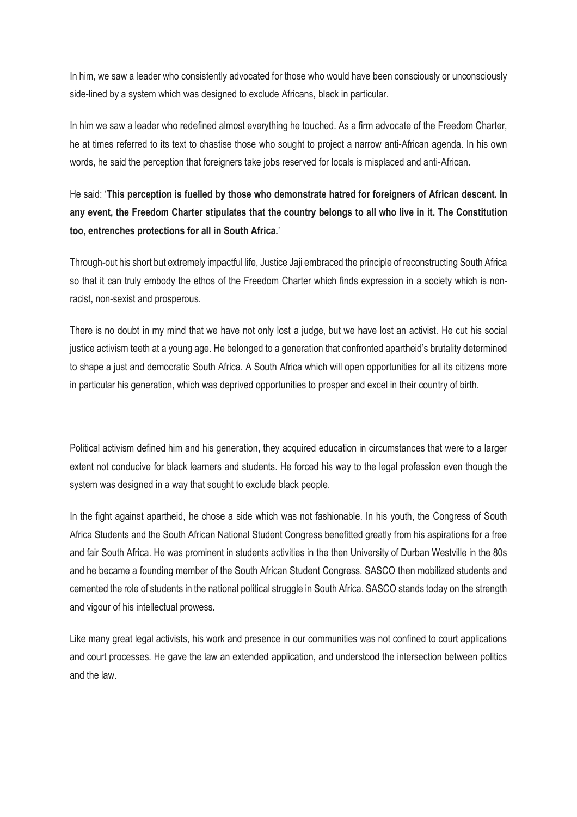In him, we saw a leader who consistently advocated for those who would have been consciously or unconsciously side-lined by a system which was designed to exclude Africans, black in particular.

In him we saw a leader who redefined almost everything he touched. As a firm advocate of the Freedom Charter, he at times referred to its text to chastise those who sought to project a narrow anti-African agenda. In his own words, he said the perception that foreigners take jobs reserved for locals is misplaced and anti-African.

## He said: '**This perception is fuelled by those who demonstrate hatred for foreigners of African descent. In any event, the Freedom Charter stipulates that the country belongs to all who live in it. The Constitution too, entrenches protections for all in South Africa.**'

Through-out his short but extremely impactful life, Justice Jaji embraced the principle of reconstructing South Africa so that it can truly embody the ethos of the Freedom Charter which finds expression in a society which is nonracist, non-sexist and prosperous.

There is no doubt in my mind that we have not only lost a judge, but we have lost an activist. He cut his social justice activism teeth at a young age. He belonged to a generation that confronted apartheid's brutality determined to shape a just and democratic South Africa. A South Africa which will open opportunities for all its citizens more in particular his generation, which was deprived opportunities to prosper and excel in their country of birth.

Political activism defined him and his generation, they acquired education in circumstances that were to a larger extent not conducive for black learners and students. He forced his way to the legal profession even though the system was designed in a way that sought to exclude black people.

In the fight against apartheid, he chose a side which was not fashionable. In his youth, the Congress of South Africa Students and the South African National Student Congress benefitted greatly from his aspirations for a free and fair South Africa. He was prominent in students activities in the then University of Durban Westville in the 80s and he became a founding member of the South African Student Congress. SASCO then mobilized students and cemented the role of students in the national political struggle in South Africa. SASCO stands today on the strength and vigour of his intellectual prowess.

Like many great legal activists, his work and presence in our communities was not confined to court applications and court processes. He gave the law an extended application, and understood the intersection between politics and the law.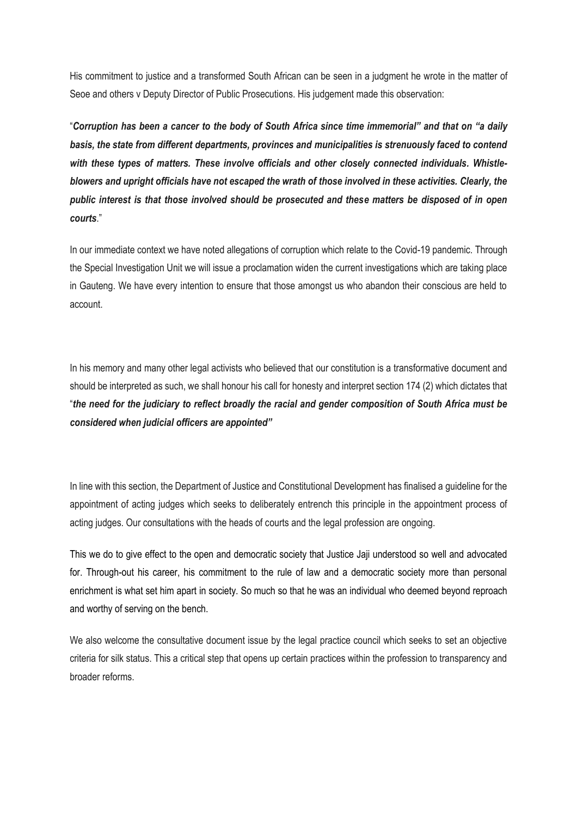His commitment to justice and a transformed South African can be seen in a judgment he wrote in the matter of Seoe and others v Deputy Director of Public Prosecutions. His judgement made this observation:

"*Corruption has been a cancer to the body of South Africa since time immemorial" and that on "a daily basis, the state from different departments, provinces and municipalities is strenuously faced to contend with these types of matters. These involve officials and other closely connected individuals. Whistleblowers and upright officials have not escaped the wrath of those involved in these activities. Clearly, the public interest is that those involved should be prosecuted and these matters be disposed of in open courts*."

In our immediate context we have noted allegations of corruption which relate to the Covid-19 pandemic. Through the Special Investigation Unit we will issue a proclamation widen the current investigations which are taking place in Gauteng. We have every intention to ensure that those amongst us who abandon their conscious are held to account.

In his memory and many other legal activists who believed that our constitution is a transformative document and should be interpreted as such, we shall honour his call for honesty and interpret section 174 (2) which dictates that "*the need for the judiciary to reflect broadly the racial and gender composition of South Africa must be considered when judicial officers are appointed"*

In line with this section, the Department of Justice and Constitutional Development has finalised a guideline for the appointment of acting judges which seeks to deliberately entrench this principle in the appointment process of acting judges. Our consultations with the heads of courts and the legal profession are ongoing.

This we do to give effect to the open and democratic society that Justice Jaji understood so well and advocated for. Through-out his career, his commitment to the rule of law and a democratic society more than personal enrichment is what set him apart in society. So much so that he was an individual who deemed beyond reproach and worthy of serving on the bench.

We also welcome the consultative document issue by the legal practice council which seeks to set an objective criteria for silk status. This a critical step that opens up certain practices within the profession to transparency and broader reforms.